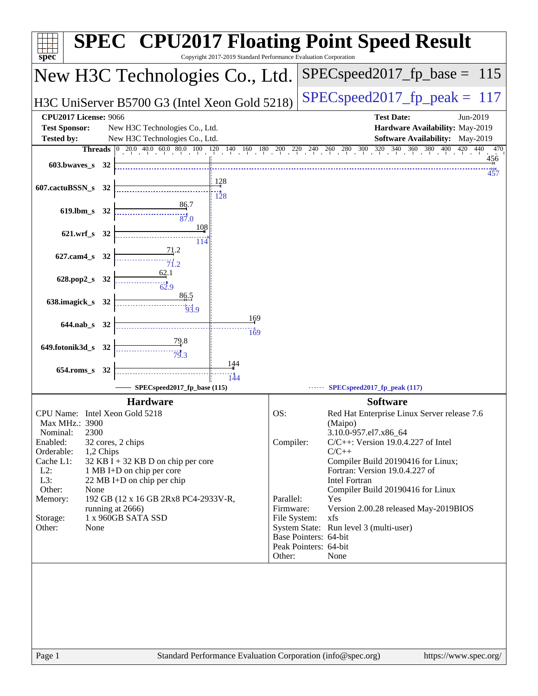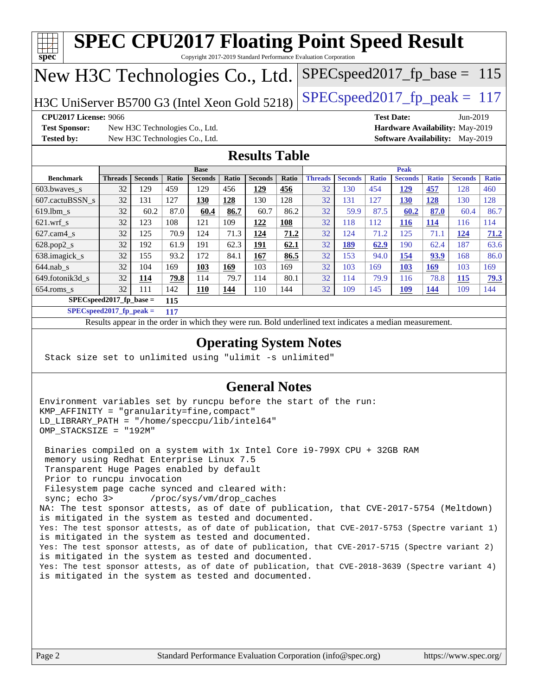| <b>SPEC CPU2017 Floating Point Speed Result</b><br>ĦТ<br>spec<br>Copyright 2017-2019 Standard Performance Evaluation Corporation                                                                                                                                                                           |                            |                                |             |                               |       |                      |              |                                                                                                          |                |              |                               |              |                                 |              |
|------------------------------------------------------------------------------------------------------------------------------------------------------------------------------------------------------------------------------------------------------------------------------------------------------------|----------------------------|--------------------------------|-------------|-------------------------------|-------|----------------------|--------------|----------------------------------------------------------------------------------------------------------|----------------|--------------|-------------------------------|--------------|---------------------------------|--------------|
| $SPEC speed2017_f p\_base = 115$<br>New H3C Technologies Co., Ltd.                                                                                                                                                                                                                                         |                            |                                |             |                               |       |                      |              |                                                                                                          |                |              |                               |              |                                 |              |
| $SPEC speed2017_fp\_peak = 117$<br>H3C UniServer B5700 G3 (Intel Xeon Gold 5218)                                                                                                                                                                                                                           |                            |                                |             |                               |       |                      |              |                                                                                                          |                |              |                               |              |                                 |              |
| <b>CPU2017 License: 9066</b><br><b>Test Date:</b><br>Jun-2019                                                                                                                                                                                                                                              |                            |                                |             |                               |       |                      |              |                                                                                                          |                |              |                               |              |                                 |              |
| <b>Test Sponsor:</b><br>New H3C Technologies Co., Ltd.<br>Hardware Availability: May-2019                                                                                                                                                                                                                  |                            |                                |             |                               |       |                      |              |                                                                                                          |                |              |                               |              |                                 |              |
| <b>Tested by:</b>                                                                                                                                                                                                                                                                                          |                            | New H3C Technologies Co., Ltd. |             |                               |       |                      |              |                                                                                                          |                |              |                               |              | Software Availability: May-2019 |              |
|                                                                                                                                                                                                                                                                                                            |                            |                                |             |                               |       | <b>Results Table</b> |              |                                                                                                          |                |              |                               |              |                                 |              |
| <b>Benchmark</b>                                                                                                                                                                                                                                                                                           | <b>Threads</b>             | <b>Seconds</b>                 | Ratio       | <b>Base</b><br><b>Seconds</b> | Ratio | <b>Seconds</b>       | <b>Ratio</b> | <b>Threads</b>                                                                                           | <b>Seconds</b> | <b>Ratio</b> | <b>Peak</b><br><b>Seconds</b> | <b>Ratio</b> | <b>Seconds</b>                  | <b>Ratio</b> |
| 603.bwaves_s                                                                                                                                                                                                                                                                                               | 32                         | 129                            | 459         | 129                           | 456   | 129                  | <b>456</b>   | 32                                                                                                       | 130            | 454          | <u>129</u>                    | 457          | 128                             | 460          |
| 607.cactuBSSN_s                                                                                                                                                                                                                                                                                            | 32                         | 131                            | 127         | 130                           | 128   | 130                  | 128          | 32                                                                                                       | 131            | 127          | <b>130</b>                    | 128          | 130                             | 128          |
| 619.lbm_s                                                                                                                                                                                                                                                                                                  | 32                         | 60.2                           | 87.0        | 60.4                          | 86.7  | 60.7                 | 86.2         | 32                                                                                                       | 59.9           | 87.5         | 60.2                          | 87.0         | 60.4                            | 86.7         |
| $621.wrf$ <sub>s</sub>                                                                                                                                                                                                                                                                                     | 32                         | 123                            | 108         | 121                           | 109   | <u>122</u>           | <b>108</b>   | 32                                                                                                       | 118            | 112          | 116                           | 114          | 116                             | 114          |
| $627$ .cam $4$ <sub>s</sub>                                                                                                                                                                                                                                                                                | 32                         | 125                            | 70.9        | 124                           | 71.3  | 124                  | 71.2         | 32                                                                                                       | 124            | 71.2         | 125                           | 71.1         | 124                             | 71.2         |
| $628.pop2_s$                                                                                                                                                                                                                                                                                               | 32                         | 192                            | 61.9        | 191                           | 62.3  | 191                  | 62.1         | 32                                                                                                       | 189            | 62.9         | 190                           | 62.4         | 187                             | 63.6         |
| 638.imagick_s                                                                                                                                                                                                                                                                                              | 32                         | 155                            | 93.2        | 172                           | 84.1  | 167                  | 86.5         | 32                                                                                                       | 153            | 94.0         | 154                           | 93.9         | 168                             | 86.0         |
| $644$ .nab_s                                                                                                                                                                                                                                                                                               | 32                         | 104                            | 169         | 103                           | 169   | 103                  | 169          | 32                                                                                                       | 103            | 169          | 103                           | <b>169</b>   | 103                             | 169          |
| 649.fotonik3d_s                                                                                                                                                                                                                                                                                            | 32                         | 114                            | <b>79.8</b> | 114                           | 79.7  | 114                  | 80.1         | 32                                                                                                       | 114            | 79.9         | 116                           | 78.8         | <b>115</b>                      | <u>79.3</u>  |
| $654$ .roms_s                                                                                                                                                                                                                                                                                              | 32                         | 111                            | 142         | 110                           | 144   | 110                  | 144          | 32                                                                                                       | 109            | 145          | <b>109</b>                    | 144          | 109                             | 144          |
|                                                                                                                                                                                                                                                                                                            | SPECspeed2017_fp_base =    |                                | 115         |                               |       |                      |              |                                                                                                          |                |              |                               |              |                                 |              |
|                                                                                                                                                                                                                                                                                                            | $SPEC speed2017_fp_peak =$ |                                | 117         |                               |       |                      |              |                                                                                                          |                |              |                               |              |                                 |              |
|                                                                                                                                                                                                                                                                                                            |                            |                                |             |                               |       |                      |              | Results appear in the order in which they were run. Bold underlined text indicates a median measurement. |                |              |                               |              |                                 |              |
| <b>Operating System Notes</b><br>Stack size set to unlimited using "ulimit -s unlimited"                                                                                                                                                                                                                   |                            |                                |             |                               |       |                      |              |                                                                                                          |                |              |                               |              |                                 |              |
| <b>General Notes</b>                                                                                                                                                                                                                                                                                       |                            |                                |             |                               |       |                      |              |                                                                                                          |                |              |                               |              |                                 |              |
| Environment variables set by runcpu before the start of the run:<br>KMP_AFFINITY = "granularity=fine, compact"<br>LD_LIBRARY_PATH = "/home/speccpu/lib/intel64"<br>OMP_STACKSIZE = "192M"<br>Binaries compiled on a system with 1x Intel Core i9-799X CPU + 32GB RAM                                       |                            |                                |             |                               |       |                      |              |                                                                                                          |                |              |                               |              |                                 |              |
| memory using Redhat Enterprise Linux 7.5<br>Transparent Huge Pages enabled by default<br>Prior to runcpu invocation<br>Filesystem page cache synced and cleared with:<br>sync; echo 3><br>/proc/sys/vm/drop_caches<br>NA: The test sponsor attests as of date of publication that CVF-2017-5754 (Meltdown) |                            |                                |             |                               |       |                      |              |                                                                                                          |                |              |                               |              |                                 |              |

NA: The test sponsor attests, as of date of publication, that CVE-2017-5754 (Meltdown) is mitigated in the system as tested and documented. Yes: The test sponsor attests, as of date of publication, that CVE-2017-5753 (Spectre variant 1) is mitigated in the system as tested and documented. Yes: The test sponsor attests, as of date of publication, that CVE-2017-5715 (Spectre variant 2) is mitigated in the system as tested and documented. Yes: The test sponsor attests, as of date of publication, that CVE-2018-3639 (Spectre variant 4)

is mitigated in the system as tested and documented.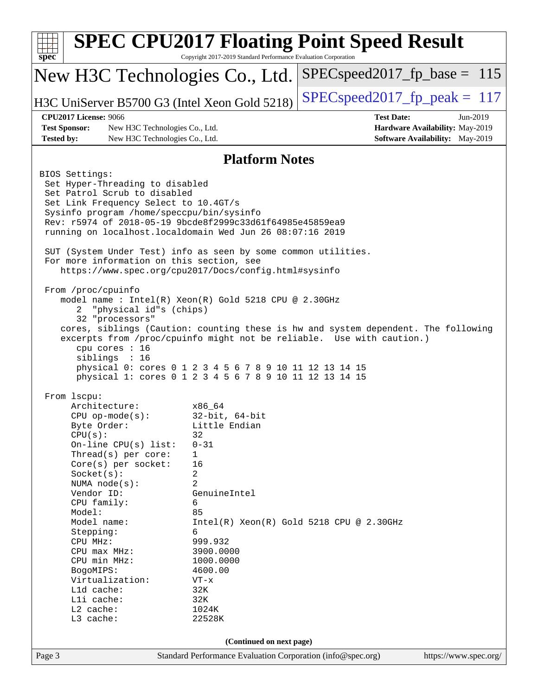| <b>SPEC CPU2017 Floating Point Speed Result</b><br>spec <sup>®</sup><br>Copyright 2017-2019 Standard Performance Evaluation Corporation                                                                                                                                                                                                                                                                                                                                                                                                                                                                                                                            |                                                                                      |  |  |  |  |  |  |  |
|--------------------------------------------------------------------------------------------------------------------------------------------------------------------------------------------------------------------------------------------------------------------------------------------------------------------------------------------------------------------------------------------------------------------------------------------------------------------------------------------------------------------------------------------------------------------------------------------------------------------------------------------------------------------|--------------------------------------------------------------------------------------|--|--|--|--|--|--|--|
| New H3C Technologies Co., Ltd.                                                                                                                                                                                                                                                                                                                                                                                                                                                                                                                                                                                                                                     | $SPEC speed2017_f p\_base = 115$                                                     |  |  |  |  |  |  |  |
| H3C UniServer B5700 G3 (Intel Xeon Gold 5218)                                                                                                                                                                                                                                                                                                                                                                                                                                                                                                                                                                                                                      | $SPEC speed2017_fp\_peak = 117$                                                      |  |  |  |  |  |  |  |
| <b>CPU2017 License: 9066</b><br><b>Test Date:</b><br>Jun-2019                                                                                                                                                                                                                                                                                                                                                                                                                                                                                                                                                                                                      |                                                                                      |  |  |  |  |  |  |  |
| <b>Test Sponsor:</b><br>New H3C Technologies Co., Ltd.                                                                                                                                                                                                                                                                                                                                                                                                                                                                                                                                                                                                             | Hardware Availability: May-2019                                                      |  |  |  |  |  |  |  |
| <b>Tested by:</b><br><b>Software Availability:</b> May-2019<br>New H3C Technologies Co., Ltd.                                                                                                                                                                                                                                                                                                                                                                                                                                                                                                                                                                      |                                                                                      |  |  |  |  |  |  |  |
| <b>Platform Notes</b>                                                                                                                                                                                                                                                                                                                                                                                                                                                                                                                                                                                                                                              |                                                                                      |  |  |  |  |  |  |  |
| BIOS Settings:<br>Set Hyper-Threading to disabled<br>Set Patrol Scrub to disabled<br>Set Link Frequency Select to 10.4GT/s<br>Sysinfo program /home/speccpu/bin/sysinfo<br>Rev: r5974 of 2018-05-19 9bcde8f2999c33d61f64985e45859ea9<br>running on localhost.localdomain Wed Jun 26 08:07:16 2019<br>SUT (System Under Test) info as seen by some common utilities.<br>For more information on this section, see<br>https://www.spec.org/cpu2017/Docs/config.html#sysinfo                                                                                                                                                                                          |                                                                                      |  |  |  |  |  |  |  |
| From /proc/cpuinfo<br>model name : Intel(R) Xeon(R) Gold 5218 CPU @ 2.30GHz<br>2 "physical id"s (chips)<br>32 "processors"<br>cores, siblings (Caution: counting these is hw and system dependent. The following<br>excerpts from /proc/cpuinfo might not be reliable. Use with caution.)<br>cpu cores : 16<br>siblings : 16<br>physical 0: cores 0 1 2 3 4 5 6 7 8 9 10 11 12 13 14 15<br>physical 1: cores 0 1 2 3 4 5 6 7 8 9 10 11 12 13 14 15                                                                                                                                                                                                                 |                                                                                      |  |  |  |  |  |  |  |
| From 1scpu:<br>Architecture:<br>x86 64<br>$32$ -bit, $64$ -bit<br>$CPU$ op-mode( $s$ ):<br>Little Endian<br>Byte Order:<br>32<br>CPU(s):<br>On-line $CPU(s)$ list:<br>$0 - 31$<br>Thread(s) per core:<br>1<br>16<br>$Core(s)$ per socket:<br>2<br>Socket(s):<br>2<br>NUMA node(s):<br>Vendor ID:<br>GenuineIntel<br>CPU family:<br>6<br>Model:<br>85<br>Model name:<br>$Intel(R) Xeon(R) Gold 5218 CPU @ 2.30GHz$<br>Stepping:<br>6<br>999.932<br>CPU MHz:<br>3900.0000<br>$CPU$ max $MHz:$<br>CPU min MHz:<br>1000.0000<br>BogoMIPS:<br>4600.00<br>Virtualization:<br>VT-x<br>Lld cache:<br>32K<br>Lli cache:<br>32K<br>L2 cache:<br>1024K<br>L3 cache:<br>22528K |                                                                                      |  |  |  |  |  |  |  |
| (Continued on next page)                                                                                                                                                                                                                                                                                                                                                                                                                                                                                                                                                                                                                                           |                                                                                      |  |  |  |  |  |  |  |
| Page 3                                                                                                                                                                                                                                                                                                                                                                                                                                                                                                                                                                                                                                                             | Standard Performance Evaluation Corporation (info@spec.org)<br>https://www.spec.org/ |  |  |  |  |  |  |  |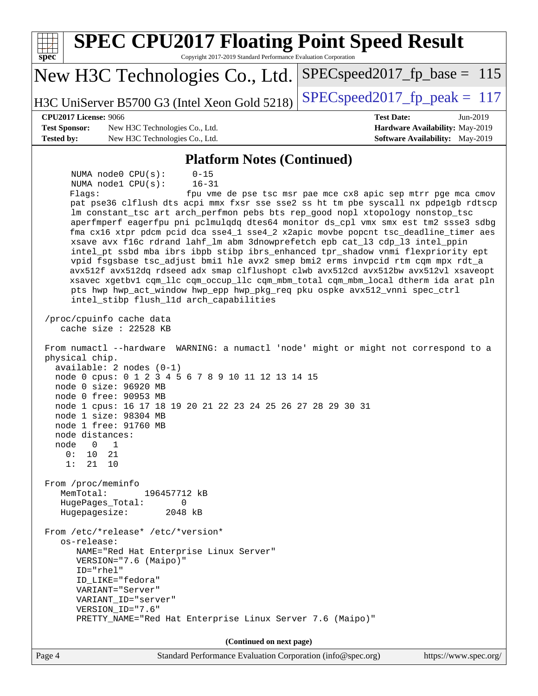| <b>SPEC CPU2017 Floating Point Speed Result</b><br>Copyright 2017-2019 Standard Performance Evaluation Corporation<br>$\mathbf{spec}^*$                                                                                                                                                                                                                                                                                                                                                                                                                                                                                                                                                                                                                                                                                                                                                                                                                                                           |                                                                                                            |  |  |  |  |
|---------------------------------------------------------------------------------------------------------------------------------------------------------------------------------------------------------------------------------------------------------------------------------------------------------------------------------------------------------------------------------------------------------------------------------------------------------------------------------------------------------------------------------------------------------------------------------------------------------------------------------------------------------------------------------------------------------------------------------------------------------------------------------------------------------------------------------------------------------------------------------------------------------------------------------------------------------------------------------------------------|------------------------------------------------------------------------------------------------------------|--|--|--|--|
| New H3C Technologies Co., Ltd.                                                                                                                                                                                                                                                                                                                                                                                                                                                                                                                                                                                                                                                                                                                                                                                                                                                                                                                                                                    | $SPEC speed2017_f p\_base = 115$                                                                           |  |  |  |  |
| H3C UniServer B5700 G3 (Intel Xeon Gold 5218)                                                                                                                                                                                                                                                                                                                                                                                                                                                                                                                                                                                                                                                                                                                                                                                                                                                                                                                                                     | $SPEC speed2017_fp\_peak = 117$                                                                            |  |  |  |  |
| <b>CPU2017 License: 9066</b><br><b>Test Sponsor:</b><br>New H3C Technologies Co., Ltd.<br><b>Tested by:</b><br>New H3C Technologies Co., Ltd.                                                                                                                                                                                                                                                                                                                                                                                                                                                                                                                                                                                                                                                                                                                                                                                                                                                     | <b>Test Date:</b><br>Jun-2019<br>Hardware Availability: May-2019<br><b>Software Availability:</b> May-2019 |  |  |  |  |
| <b>Platform Notes (Continued)</b>                                                                                                                                                                                                                                                                                                                                                                                                                                                                                                                                                                                                                                                                                                                                                                                                                                                                                                                                                                 |                                                                                                            |  |  |  |  |
| NUMA node0 CPU(s):<br>$0 - 15$<br>NUMA nodel CPU(s):<br>$16 - 31$<br>Flaqs:<br>pat pse36 clflush dts acpi mmx fxsr sse sse2 ss ht tm pbe syscall nx pdpe1gb rdtscp<br>lm constant_tsc art arch_perfmon pebs bts rep_good nopl xtopology nonstop_tsc<br>aperfmperf eagerfpu pni pclmulqdq dtes64 monitor ds_cpl vmx smx est tm2 ssse3 sdbg<br>fma cx16 xtpr pdcm pcid dca sse4_1 sse4_2 x2apic movbe popcnt tsc_deadline_timer aes<br>xsave avx f16c rdrand lahf_lm abm 3dnowprefetch epb cat_13 cdp_13 intel_ppin<br>intel_pt ssbd mba ibrs ibpb stibp ibrs_enhanced tpr_shadow vnmi flexpriority ept<br>vpid fsgsbase tsc_adjust bmil hle avx2 smep bmi2 erms invpcid rtm cqm mpx rdt_a<br>avx512f avx512dq rdseed adx smap clflushopt clwb avx512cd avx512bw avx512vl xsaveopt<br>xsavec xgetbv1 cqm_llc cqm_occup_llc cqm_mbm_total cqm_mbm_local dtherm ida arat pln<br>pts hwp hwp_act_window hwp_epp hwp_pkg_req pku ospke avx512_vnni spec_ctrl<br>intel_stibp flush_l1d arch_capabilities | fpu vme de pse tsc msr pae mce cx8 apic sep mtrr pge mca cmov                                              |  |  |  |  |
| /proc/cpuinfo cache data<br>cache size : 22528 KB<br>From numactl --hardware WARNING: a numactl 'node' might or might not correspond to a<br>physical chip.<br>$available: 2 nodes (0-1)$<br>node 0 cpus: 0 1 2 3 4 5 6 7 8 9 10 11 12 13 14 15<br>node 0 size: 96920 MB<br>node 0 free: 90953 MB<br>node 1 cpus: 16 17 18 19 20 21 22 23 24 25 26 27 28 29 30 31<br>node 1 size: 98304 MB<br>node 1 free: 91760 MB<br>node distances:<br>node<br>$\overline{0}$<br>1<br>0:<br>10<br>21<br>1:<br>21<br>10<br>From /proc/meminfo<br>MemTotal:<br>196457712 kB<br>$\Omega$<br>HugePages_Total:<br>Hugepagesize:<br>2048 kB<br>From /etc/*release* /etc/*version*<br>os-release:<br>NAME="Red Hat Enterprise Linux Server"<br>VERSION="7.6 (Maipo)"<br>ID="rhel"<br>ID LIKE="fedora"<br>VARIANT="Server"                                                                                                                                                                                             |                                                                                                            |  |  |  |  |
| VARIANT ID="server"<br>VERSION_ID="7.6"<br>PRETTY_NAME="Red Hat Enterprise Linux Server 7.6 (Maipo)"                                                                                                                                                                                                                                                                                                                                                                                                                                                                                                                                                                                                                                                                                                                                                                                                                                                                                              |                                                                                                            |  |  |  |  |
| (Continued on next page)                                                                                                                                                                                                                                                                                                                                                                                                                                                                                                                                                                                                                                                                                                                                                                                                                                                                                                                                                                          |                                                                                                            |  |  |  |  |
| Page 4<br>Standard Performance Evaluation Corporation (info@spec.org)                                                                                                                                                                                                                                                                                                                                                                                                                                                                                                                                                                                                                                                                                                                                                                                                                                                                                                                             | https://www.spec.org/                                                                                      |  |  |  |  |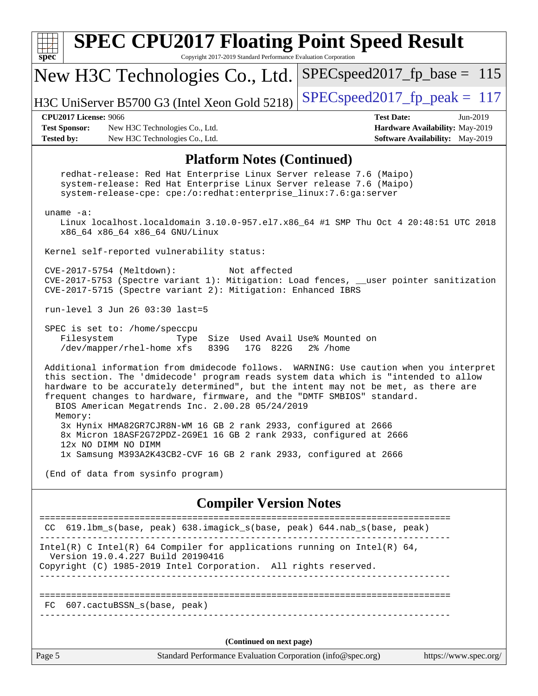| <b>SPEC CPU2017 Floating Point Speed Result</b><br>Copyright 2017-2019 Standard Performance Evaluation Corporation<br>$s\overline{p}\overline{e}\overline{c}$                                                                                                                                                                                                                                      |                                                                                                     |  |  |  |  |  |  |  |
|----------------------------------------------------------------------------------------------------------------------------------------------------------------------------------------------------------------------------------------------------------------------------------------------------------------------------------------------------------------------------------------------------|-----------------------------------------------------------------------------------------------------|--|--|--|--|--|--|--|
| New H3C Technologies Co., Ltd.                                                                                                                                                                                                                                                                                                                                                                     | $SPEC speed2017_fp\_base = 115$                                                                     |  |  |  |  |  |  |  |
| H3C UniServer B5700 G3 (Intel Xeon Gold 5218)                                                                                                                                                                                                                                                                                                                                                      | $SPEC speed2017_fp\_peak = 117$                                                                     |  |  |  |  |  |  |  |
| <b>CPU2017 License: 9066</b><br><b>Test Sponsor:</b><br>New H3C Technologies Co., Ltd.<br><b>Tested by:</b><br>New H3C Technologies Co., Ltd.                                                                                                                                                                                                                                                      | <b>Test Date:</b><br>Jun-2019<br>Hardware Availability: May-2019<br>Software Availability: May-2019 |  |  |  |  |  |  |  |
| <b>Platform Notes (Continued)</b>                                                                                                                                                                                                                                                                                                                                                                  |                                                                                                     |  |  |  |  |  |  |  |
| redhat-release: Red Hat Enterprise Linux Server release 7.6 (Maipo)<br>system-release: Red Hat Enterprise Linux Server release 7.6 (Maipo)<br>system-release-cpe: cpe:/o:redhat:enterprise_linux:7.6:ga:server                                                                                                                                                                                     |                                                                                                     |  |  |  |  |  |  |  |
| uname $-a$ :<br>Linux localhost.localdomain 3.10.0-957.el7.x86_64 #1 SMP Thu Oct 4 20:48:51 UTC 2018<br>x86_64 x86_64 x86_64 GNU/Linux                                                                                                                                                                                                                                                             |                                                                                                     |  |  |  |  |  |  |  |
| Kernel self-reported vulnerability status:                                                                                                                                                                                                                                                                                                                                                         |                                                                                                     |  |  |  |  |  |  |  |
| CVE-2017-5754 (Meltdown):<br>Not affected<br>CVE-2017-5753 (Spectre variant 1): Mitigation: Load fences, __user pointer sanitization<br>CVE-2017-5715 (Spectre variant 2): Mitigation: Enhanced IBRS                                                                                                                                                                                               |                                                                                                     |  |  |  |  |  |  |  |
| run-level 3 Jun 26 03:30 last=5                                                                                                                                                                                                                                                                                                                                                                    |                                                                                                     |  |  |  |  |  |  |  |
| SPEC is set to: /home/speccpu<br>Filesystem<br>Size Used Avail Use% Mounted on<br>Type<br>/dev/mapper/rhel-home xfs<br>839G<br>17G 822G<br>2% /home                                                                                                                                                                                                                                                |                                                                                                     |  |  |  |  |  |  |  |
| Additional information from dmidecode follows. WARNING: Use caution when you interpret<br>this section. The 'dmidecode' program reads system data which is "intended to allow<br>hardware to be accurately determined", but the intent may not be met, as there are<br>frequent changes to hardware, firmware, and the "DMTF SMBIOS" standard.<br>BIOS American Megatrends Inc. 2.00.28 05/24/2019 |                                                                                                     |  |  |  |  |  |  |  |
| Memory:<br>3x Hynix HMA82GR7CJR8N-WM 16 GB 2 rank 2933, configured at 2666<br>8x Micron 18ASF2G72PDZ-2G9E1 16 GB 2 rank 2933, configured at 2666<br>12x NO DIMM NO DIMM                                                                                                                                                                                                                            |                                                                                                     |  |  |  |  |  |  |  |
| 1x Samsung M393A2K43CB2-CVF 16 GB 2 rank 2933, configured at 2666<br>(End of data from sysinfo program)                                                                                                                                                                                                                                                                                            |                                                                                                     |  |  |  |  |  |  |  |
|                                                                                                                                                                                                                                                                                                                                                                                                    |                                                                                                     |  |  |  |  |  |  |  |
| <b>Compiler Version Notes</b>                                                                                                                                                                                                                                                                                                                                                                      |                                                                                                     |  |  |  |  |  |  |  |
| 619.1bm_s(base, peak)    638.imagick_s(base, peak)    644.nab_s(base, peak)<br>CC.                                                                                                                                                                                                                                                                                                                 |                                                                                                     |  |  |  |  |  |  |  |
| Intel(R) C Intel(R) 64 Compiler for applications running on Intel(R) 64,<br>Version 19.0.4.227 Build 20190416<br>Copyright (C) 1985-2019 Intel Corporation. All rights reserved.                                                                                                                                                                                                                   |                                                                                                     |  |  |  |  |  |  |  |
| FC 607.cactuBSSN_s(base, peak)                                                                                                                                                                                                                                                                                                                                                                     |                                                                                                     |  |  |  |  |  |  |  |
| (Continued on next page)                                                                                                                                                                                                                                                                                                                                                                           |                                                                                                     |  |  |  |  |  |  |  |
| Page 5<br>Standard Performance Evaluation Corporation (info@spec.org)                                                                                                                                                                                                                                                                                                                              | https://www.spec.org/                                                                               |  |  |  |  |  |  |  |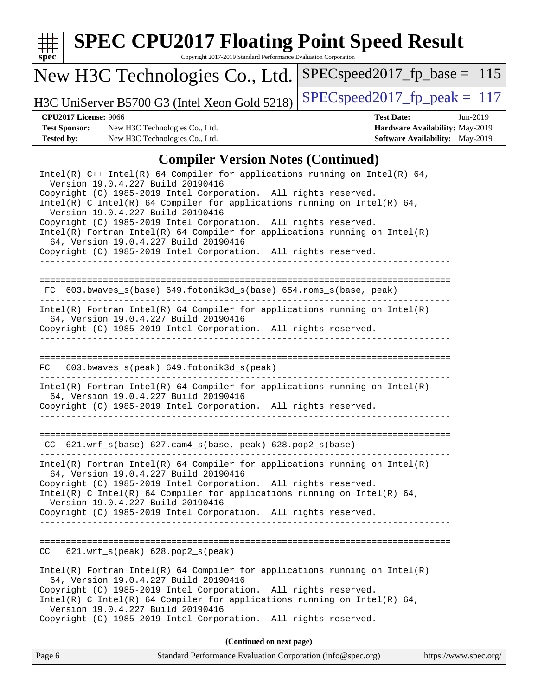

#### Intel(R)  $C++$  Intel(R) 64 Compiler for applications running on Intel(R) 64, Version 19.0.4.227 Build 20190416 Copyright (C) 1985-2019 Intel Corporation. All rights reserved. Intel(R) C Intel(R) 64 Compiler for applications running on Intel(R) 64, Version 19.0.4.227 Build 20190416 Copyright (C) 1985-2019 Intel Corporation. All rights reserved. Intel(R) Fortran Intel(R) 64 Compiler for applications running on Intel(R) 64, Version 19.0.4.227 Build 20190416 Copyright (C) 1985-2019 Intel Corporation. All rights reserved. ------------------------------------------------------------------------------ ============================================================================== FC 603.bwaves  $s(base)$  649.fotonik3d  $s(base)$  654.roms  $s(base, peak)$ ------------------------------------------------------------------------------ Intel(R) Fortran Intel(R) 64 Compiler for applications running on Intel(R) 64, Version 19.0.4.227 Build 20190416 Copyright (C) 1985-2019 Intel Corporation. All rights reserved. ------------------------------------------------------------------------------ ============================================================================== FC 603.bwaves\_s(peak) 649.fotonik3d\_s(peak) ------------------------------------------------------------------------------ Intel(R) Fortran Intel(R) 64 Compiler for applications running on Intel(R) 64, Version 19.0.4.227 Build 20190416 Copyright (C) 1985-2019 Intel Corporation. All rights reserved. ------------------------------------------------------------------------------ ============================================================================== CC 621.wrf\_s(base) 627.cam4\_s(base, peak) 628.pop2\_s(base) ------------------------------------------------------------------------------ Intel(R) Fortran Intel(R) 64 Compiler for applications running on Intel(R) 64, Version 19.0.4.227 Build 20190416 Copyright (C) 1985-2019 Intel Corporation. All rights reserved. Intel(R) C Intel(R) 64 Compiler for applications running on Intel(R)  $64$ , Version 19.0.4.227 Build 20190416 Copyright (C) 1985-2019 Intel Corporation. All rights reserved. ------------------------------------------------------------------------------ ============================================================================== CC 621.wrf\_s(peak) 628.pop2\_s(peak) ------------------------------------------------------------------------------ Intel(R) Fortran Intel(R) 64 Compiler for applications running on Intel(R) 64, Version 19.0.4.227 Build 20190416 Copyright (C) 1985-2019 Intel Corporation. All rights reserved. Intel(R) C Intel(R) 64 Compiler for applications running on Intel(R) 64, Version 19.0.4.227 Build 20190416 Copyright (C) 1985-2019 Intel Corporation. All rights reserved.

**(Continued on next page)**

| Page 6 | Standard Performance Evaluation Corporation (info@spec.org) | https://www.spec.org/ |
|--------|-------------------------------------------------------------|-----------------------|
|--------|-------------------------------------------------------------|-----------------------|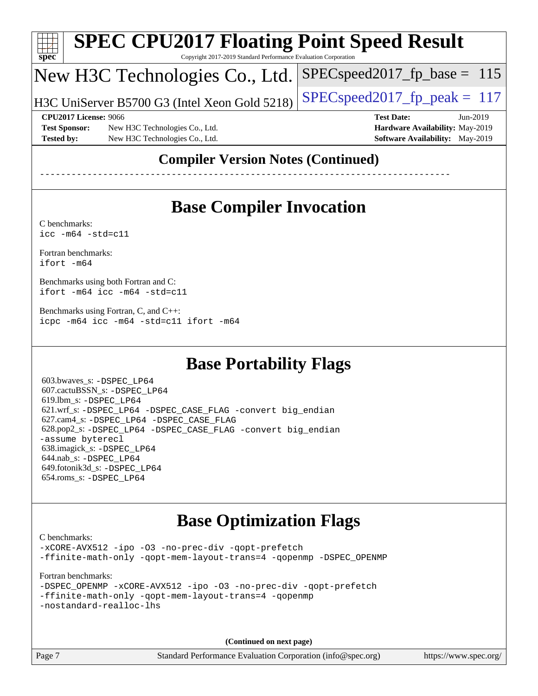| Spec                 | <b>SPEC CPU2017 Floating Point Speed Result</b><br>Copyright 2017-2019 Standard Performance Evaluation Corporation |                                        |  |  |  |  |  |  |
|----------------------|--------------------------------------------------------------------------------------------------------------------|----------------------------------------|--|--|--|--|--|--|
|                      | New H3C Technologies Co., Ltd.                                                                                     | $SPEC speed2017_fp\_base = 115$        |  |  |  |  |  |  |
|                      | H3C UniServer B5700 G3 (Intel Xeon Gold 5218)                                                                      | $SPEC speed2017fp peak = 117$          |  |  |  |  |  |  |
|                      | CPU2017 License: 9066                                                                                              | <b>Test Date:</b><br>$Jun-2019$        |  |  |  |  |  |  |
| <b>Test Sponsor:</b> | New H3C Technologies Co., Ltd.                                                                                     | Hardware Availability: May-2019        |  |  |  |  |  |  |
| <b>Tested by:</b>    | New H3C Technologies Co., Ltd.                                                                                     | <b>Software Availability:</b> May-2019 |  |  |  |  |  |  |
|                      |                                                                                                                    | $\blacksquare$                         |  |  |  |  |  |  |

#### **[Compiler Version Notes \(Continued\)](http://www.spec.org/auto/cpu2017/Docs/result-fields.html#CompilerVersionNotes)**

------------------------------------------------------------------------------

# **[Base Compiler Invocation](http://www.spec.org/auto/cpu2017/Docs/result-fields.html#BaseCompilerInvocation)**

[C benchmarks](http://www.spec.org/auto/cpu2017/Docs/result-fields.html#Cbenchmarks): [icc -m64 -std=c11](http://www.spec.org/cpu2017/results/res2019q3/cpu2017-20190628-15908.flags.html#user_CCbase_intel_icc_64bit_c11_33ee0cdaae7deeeab2a9725423ba97205ce30f63b9926c2519791662299b76a0318f32ddfffdc46587804de3178b4f9328c46fa7c2b0cd779d7a61945c91cd35)

[Fortran benchmarks](http://www.spec.org/auto/cpu2017/Docs/result-fields.html#Fortranbenchmarks): [ifort -m64](http://www.spec.org/cpu2017/results/res2019q3/cpu2017-20190628-15908.flags.html#user_FCbase_intel_ifort_64bit_24f2bb282fbaeffd6157abe4f878425411749daecae9a33200eee2bee2fe76f3b89351d69a8130dd5949958ce389cf37ff59a95e7a40d588e8d3a57e0c3fd751)

[Benchmarks using both Fortran and C](http://www.spec.org/auto/cpu2017/Docs/result-fields.html#BenchmarksusingbothFortranandC): [ifort -m64](http://www.spec.org/cpu2017/results/res2019q3/cpu2017-20190628-15908.flags.html#user_CC_FCbase_intel_ifort_64bit_24f2bb282fbaeffd6157abe4f878425411749daecae9a33200eee2bee2fe76f3b89351d69a8130dd5949958ce389cf37ff59a95e7a40d588e8d3a57e0c3fd751) [icc -m64 -std=c11](http://www.spec.org/cpu2017/results/res2019q3/cpu2017-20190628-15908.flags.html#user_CC_FCbase_intel_icc_64bit_c11_33ee0cdaae7deeeab2a9725423ba97205ce30f63b9926c2519791662299b76a0318f32ddfffdc46587804de3178b4f9328c46fa7c2b0cd779d7a61945c91cd35)

[Benchmarks using Fortran, C, and C++:](http://www.spec.org/auto/cpu2017/Docs/result-fields.html#BenchmarksusingFortranCandCXX) [icpc -m64](http://www.spec.org/cpu2017/results/res2019q3/cpu2017-20190628-15908.flags.html#user_CC_CXX_FCbase_intel_icpc_64bit_4ecb2543ae3f1412ef961e0650ca070fec7b7afdcd6ed48761b84423119d1bf6bdf5cad15b44d48e7256388bc77273b966e5eb805aefd121eb22e9299b2ec9d9) [icc -m64 -std=c11](http://www.spec.org/cpu2017/results/res2019q3/cpu2017-20190628-15908.flags.html#user_CC_CXX_FCbase_intel_icc_64bit_c11_33ee0cdaae7deeeab2a9725423ba97205ce30f63b9926c2519791662299b76a0318f32ddfffdc46587804de3178b4f9328c46fa7c2b0cd779d7a61945c91cd35) [ifort -m64](http://www.spec.org/cpu2017/results/res2019q3/cpu2017-20190628-15908.flags.html#user_CC_CXX_FCbase_intel_ifort_64bit_24f2bb282fbaeffd6157abe4f878425411749daecae9a33200eee2bee2fe76f3b89351d69a8130dd5949958ce389cf37ff59a95e7a40d588e8d3a57e0c3fd751)

#### **[Base Portability Flags](http://www.spec.org/auto/cpu2017/Docs/result-fields.html#BasePortabilityFlags)**

 603.bwaves\_s: [-DSPEC\\_LP64](http://www.spec.org/cpu2017/results/res2019q3/cpu2017-20190628-15908.flags.html#suite_basePORTABILITY603_bwaves_s_DSPEC_LP64) 607.cactuBSSN\_s: [-DSPEC\\_LP64](http://www.spec.org/cpu2017/results/res2019q3/cpu2017-20190628-15908.flags.html#suite_basePORTABILITY607_cactuBSSN_s_DSPEC_LP64) 619.lbm\_s: [-DSPEC\\_LP64](http://www.spec.org/cpu2017/results/res2019q3/cpu2017-20190628-15908.flags.html#suite_basePORTABILITY619_lbm_s_DSPEC_LP64) 621.wrf\_s: [-DSPEC\\_LP64](http://www.spec.org/cpu2017/results/res2019q3/cpu2017-20190628-15908.flags.html#suite_basePORTABILITY621_wrf_s_DSPEC_LP64) [-DSPEC\\_CASE\\_FLAG](http://www.spec.org/cpu2017/results/res2019q3/cpu2017-20190628-15908.flags.html#b621.wrf_s_baseCPORTABILITY_DSPEC_CASE_FLAG) [-convert big\\_endian](http://www.spec.org/cpu2017/results/res2019q3/cpu2017-20190628-15908.flags.html#user_baseFPORTABILITY621_wrf_s_convert_big_endian_c3194028bc08c63ac5d04de18c48ce6d347e4e562e8892b8bdbdc0214820426deb8554edfa529a3fb25a586e65a3d812c835984020483e7e73212c4d31a38223) 627.cam4\_s: [-DSPEC\\_LP64](http://www.spec.org/cpu2017/results/res2019q3/cpu2017-20190628-15908.flags.html#suite_basePORTABILITY627_cam4_s_DSPEC_LP64) [-DSPEC\\_CASE\\_FLAG](http://www.spec.org/cpu2017/results/res2019q3/cpu2017-20190628-15908.flags.html#b627.cam4_s_baseCPORTABILITY_DSPEC_CASE_FLAG) 628.pop2\_s: [-DSPEC\\_LP64](http://www.spec.org/cpu2017/results/res2019q3/cpu2017-20190628-15908.flags.html#suite_basePORTABILITY628_pop2_s_DSPEC_LP64) [-DSPEC\\_CASE\\_FLAG](http://www.spec.org/cpu2017/results/res2019q3/cpu2017-20190628-15908.flags.html#b628.pop2_s_baseCPORTABILITY_DSPEC_CASE_FLAG) [-convert big\\_endian](http://www.spec.org/cpu2017/results/res2019q3/cpu2017-20190628-15908.flags.html#user_baseFPORTABILITY628_pop2_s_convert_big_endian_c3194028bc08c63ac5d04de18c48ce6d347e4e562e8892b8bdbdc0214820426deb8554edfa529a3fb25a586e65a3d812c835984020483e7e73212c4d31a38223) [-assume byterecl](http://www.spec.org/cpu2017/results/res2019q3/cpu2017-20190628-15908.flags.html#user_baseFPORTABILITY628_pop2_s_assume_byterecl_7e47d18b9513cf18525430bbf0f2177aa9bf368bc7a059c09b2c06a34b53bd3447c950d3f8d6c70e3faf3a05c8557d66a5798b567902e8849adc142926523472) 638.imagick\_s: [-DSPEC\\_LP64](http://www.spec.org/cpu2017/results/res2019q3/cpu2017-20190628-15908.flags.html#suite_basePORTABILITY638_imagick_s_DSPEC_LP64) 644.nab\_s: [-DSPEC\\_LP64](http://www.spec.org/cpu2017/results/res2019q3/cpu2017-20190628-15908.flags.html#suite_basePORTABILITY644_nab_s_DSPEC_LP64) 649.fotonik3d\_s: [-DSPEC\\_LP64](http://www.spec.org/cpu2017/results/res2019q3/cpu2017-20190628-15908.flags.html#suite_basePORTABILITY649_fotonik3d_s_DSPEC_LP64) 654.roms\_s: [-DSPEC\\_LP64](http://www.spec.org/cpu2017/results/res2019q3/cpu2017-20190628-15908.flags.html#suite_basePORTABILITY654_roms_s_DSPEC_LP64)

#### **[Base Optimization Flags](http://www.spec.org/auto/cpu2017/Docs/result-fields.html#BaseOptimizationFlags)**

[C benchmarks](http://www.spec.org/auto/cpu2017/Docs/result-fields.html#Cbenchmarks): [-xCORE-AVX512](http://www.spec.org/cpu2017/results/res2019q3/cpu2017-20190628-15908.flags.html#user_CCbase_f-xCORE-AVX512) [-ipo](http://www.spec.org/cpu2017/results/res2019q3/cpu2017-20190628-15908.flags.html#user_CCbase_f-ipo) [-O3](http://www.spec.org/cpu2017/results/res2019q3/cpu2017-20190628-15908.flags.html#user_CCbase_f-O3) [-no-prec-div](http://www.spec.org/cpu2017/results/res2019q3/cpu2017-20190628-15908.flags.html#user_CCbase_f-no-prec-div) [-qopt-prefetch](http://www.spec.org/cpu2017/results/res2019q3/cpu2017-20190628-15908.flags.html#user_CCbase_f-qopt-prefetch) [-ffinite-math-only](http://www.spec.org/cpu2017/results/res2019q3/cpu2017-20190628-15908.flags.html#user_CCbase_f_finite_math_only_cb91587bd2077682c4b38af759c288ed7c732db004271a9512da14a4f8007909a5f1427ecbf1a0fb78ff2a814402c6114ac565ca162485bbcae155b5e4258871) [-qopt-mem-layout-trans=4](http://www.spec.org/cpu2017/results/res2019q3/cpu2017-20190628-15908.flags.html#user_CCbase_f-qopt-mem-layout-trans_fa39e755916c150a61361b7846f310bcdf6f04e385ef281cadf3647acec3f0ae266d1a1d22d972a7087a248fd4e6ca390a3634700869573d231a252c784941a8) [-qopenmp](http://www.spec.org/cpu2017/results/res2019q3/cpu2017-20190628-15908.flags.html#user_CCbase_qopenmp_16be0c44f24f464004c6784a7acb94aca937f053568ce72f94b139a11c7c168634a55f6653758ddd83bcf7b8463e8028bb0b48b77bcddc6b78d5d95bb1df2967) [-DSPEC\\_OPENMP](http://www.spec.org/cpu2017/results/res2019q3/cpu2017-20190628-15908.flags.html#suite_CCbase_DSPEC_OPENMP)

[Fortran benchmarks](http://www.spec.org/auto/cpu2017/Docs/result-fields.html#Fortranbenchmarks):

|                         |  |                                                      |  |  | -DSPEC OPENMP -xCORE-AVX512 -ipo -03 -no-prec-div -gopt-prefetch |
|-------------------------|--|------------------------------------------------------|--|--|------------------------------------------------------------------|
|                         |  | -ffinite-math-only -qopt-mem-layout-trans=4 -qopenmp |  |  |                                                                  |
| -nostandard-realloc-lhs |  |                                                      |  |  |                                                                  |

**(Continued on next page)**

Page 7 Standard Performance Evaluation Corporation [\(info@spec.org\)](mailto:info@spec.org) <https://www.spec.org/>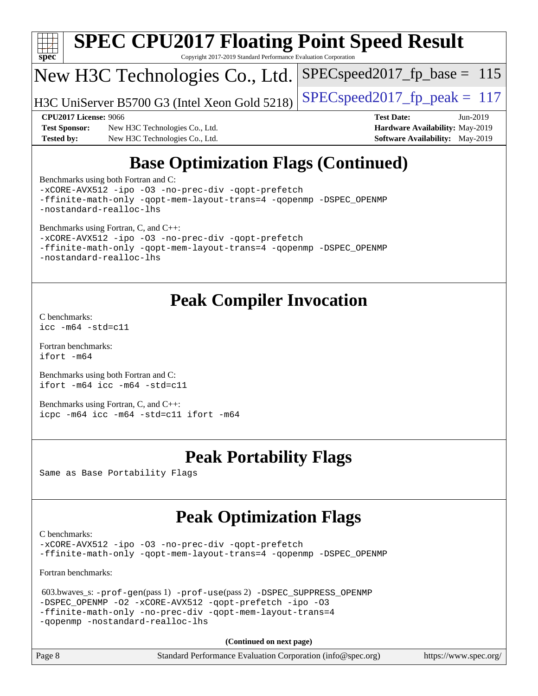

## **[Base Optimization Flags \(Continued\)](http://www.spec.org/auto/cpu2017/Docs/result-fields.html#BaseOptimizationFlags)**

[Benchmarks using both Fortran and C](http://www.spec.org/auto/cpu2017/Docs/result-fields.html#BenchmarksusingbothFortranandC):

[-xCORE-AVX512](http://www.spec.org/cpu2017/results/res2019q3/cpu2017-20190628-15908.flags.html#user_CC_FCbase_f-xCORE-AVX512) [-ipo](http://www.spec.org/cpu2017/results/res2019q3/cpu2017-20190628-15908.flags.html#user_CC_FCbase_f-ipo) [-O3](http://www.spec.org/cpu2017/results/res2019q3/cpu2017-20190628-15908.flags.html#user_CC_FCbase_f-O3) [-no-prec-div](http://www.spec.org/cpu2017/results/res2019q3/cpu2017-20190628-15908.flags.html#user_CC_FCbase_f-no-prec-div) [-qopt-prefetch](http://www.spec.org/cpu2017/results/res2019q3/cpu2017-20190628-15908.flags.html#user_CC_FCbase_f-qopt-prefetch) [-ffinite-math-only](http://www.spec.org/cpu2017/results/res2019q3/cpu2017-20190628-15908.flags.html#user_CC_FCbase_f_finite_math_only_cb91587bd2077682c4b38af759c288ed7c732db004271a9512da14a4f8007909a5f1427ecbf1a0fb78ff2a814402c6114ac565ca162485bbcae155b5e4258871) [-qopt-mem-layout-trans=4](http://www.spec.org/cpu2017/results/res2019q3/cpu2017-20190628-15908.flags.html#user_CC_FCbase_f-qopt-mem-layout-trans_fa39e755916c150a61361b7846f310bcdf6f04e385ef281cadf3647acec3f0ae266d1a1d22d972a7087a248fd4e6ca390a3634700869573d231a252c784941a8) [-qopenmp](http://www.spec.org/cpu2017/results/res2019q3/cpu2017-20190628-15908.flags.html#user_CC_FCbase_qopenmp_16be0c44f24f464004c6784a7acb94aca937f053568ce72f94b139a11c7c168634a55f6653758ddd83bcf7b8463e8028bb0b48b77bcddc6b78d5d95bb1df2967) [-DSPEC\\_OPENMP](http://www.spec.org/cpu2017/results/res2019q3/cpu2017-20190628-15908.flags.html#suite_CC_FCbase_DSPEC_OPENMP) [-nostandard-realloc-lhs](http://www.spec.org/cpu2017/results/res2019q3/cpu2017-20190628-15908.flags.html#user_CC_FCbase_f_2003_std_realloc_82b4557e90729c0f113870c07e44d33d6f5a304b4f63d4c15d2d0f1fab99f5daaed73bdb9275d9ae411527f28b936061aa8b9c8f2d63842963b95c9dd6426b8a) [Benchmarks using Fortran, C, and C++:](http://www.spec.org/auto/cpu2017/Docs/result-fields.html#BenchmarksusingFortranCandCXX)

[-xCORE-AVX512](http://www.spec.org/cpu2017/results/res2019q3/cpu2017-20190628-15908.flags.html#user_CC_CXX_FCbase_f-xCORE-AVX512) [-ipo](http://www.spec.org/cpu2017/results/res2019q3/cpu2017-20190628-15908.flags.html#user_CC_CXX_FCbase_f-ipo) [-O3](http://www.spec.org/cpu2017/results/res2019q3/cpu2017-20190628-15908.flags.html#user_CC_CXX_FCbase_f-O3) [-no-prec-div](http://www.spec.org/cpu2017/results/res2019q3/cpu2017-20190628-15908.flags.html#user_CC_CXX_FCbase_f-no-prec-div) [-qopt-prefetch](http://www.spec.org/cpu2017/results/res2019q3/cpu2017-20190628-15908.flags.html#user_CC_CXX_FCbase_f-qopt-prefetch) [-ffinite-math-only](http://www.spec.org/cpu2017/results/res2019q3/cpu2017-20190628-15908.flags.html#user_CC_CXX_FCbase_f_finite_math_only_cb91587bd2077682c4b38af759c288ed7c732db004271a9512da14a4f8007909a5f1427ecbf1a0fb78ff2a814402c6114ac565ca162485bbcae155b5e4258871) [-qopt-mem-layout-trans=4](http://www.spec.org/cpu2017/results/res2019q3/cpu2017-20190628-15908.flags.html#user_CC_CXX_FCbase_f-qopt-mem-layout-trans_fa39e755916c150a61361b7846f310bcdf6f04e385ef281cadf3647acec3f0ae266d1a1d22d972a7087a248fd4e6ca390a3634700869573d231a252c784941a8) [-qopenmp](http://www.spec.org/cpu2017/results/res2019q3/cpu2017-20190628-15908.flags.html#user_CC_CXX_FCbase_qopenmp_16be0c44f24f464004c6784a7acb94aca937f053568ce72f94b139a11c7c168634a55f6653758ddd83bcf7b8463e8028bb0b48b77bcddc6b78d5d95bb1df2967) [-DSPEC\\_OPENMP](http://www.spec.org/cpu2017/results/res2019q3/cpu2017-20190628-15908.flags.html#suite_CC_CXX_FCbase_DSPEC_OPENMP) [-nostandard-realloc-lhs](http://www.spec.org/cpu2017/results/res2019q3/cpu2017-20190628-15908.flags.html#user_CC_CXX_FCbase_f_2003_std_realloc_82b4557e90729c0f113870c07e44d33d6f5a304b4f63d4c15d2d0f1fab99f5daaed73bdb9275d9ae411527f28b936061aa8b9c8f2d63842963b95c9dd6426b8a)

## **[Peak Compiler Invocation](http://www.spec.org/auto/cpu2017/Docs/result-fields.html#PeakCompilerInvocation)**

[C benchmarks](http://www.spec.org/auto/cpu2017/Docs/result-fields.html#Cbenchmarks): [icc -m64 -std=c11](http://www.spec.org/cpu2017/results/res2019q3/cpu2017-20190628-15908.flags.html#user_CCpeak_intel_icc_64bit_c11_33ee0cdaae7deeeab2a9725423ba97205ce30f63b9926c2519791662299b76a0318f32ddfffdc46587804de3178b4f9328c46fa7c2b0cd779d7a61945c91cd35)

[Fortran benchmarks](http://www.spec.org/auto/cpu2017/Docs/result-fields.html#Fortranbenchmarks): [ifort -m64](http://www.spec.org/cpu2017/results/res2019q3/cpu2017-20190628-15908.flags.html#user_FCpeak_intel_ifort_64bit_24f2bb282fbaeffd6157abe4f878425411749daecae9a33200eee2bee2fe76f3b89351d69a8130dd5949958ce389cf37ff59a95e7a40d588e8d3a57e0c3fd751)

[Benchmarks using both Fortran and C](http://www.spec.org/auto/cpu2017/Docs/result-fields.html#BenchmarksusingbothFortranandC): [ifort -m64](http://www.spec.org/cpu2017/results/res2019q3/cpu2017-20190628-15908.flags.html#user_CC_FCpeak_intel_ifort_64bit_24f2bb282fbaeffd6157abe4f878425411749daecae9a33200eee2bee2fe76f3b89351d69a8130dd5949958ce389cf37ff59a95e7a40d588e8d3a57e0c3fd751) [icc -m64 -std=c11](http://www.spec.org/cpu2017/results/res2019q3/cpu2017-20190628-15908.flags.html#user_CC_FCpeak_intel_icc_64bit_c11_33ee0cdaae7deeeab2a9725423ba97205ce30f63b9926c2519791662299b76a0318f32ddfffdc46587804de3178b4f9328c46fa7c2b0cd779d7a61945c91cd35)

[Benchmarks using Fortran, C, and C++:](http://www.spec.org/auto/cpu2017/Docs/result-fields.html#BenchmarksusingFortranCandCXX) [icpc -m64](http://www.spec.org/cpu2017/results/res2019q3/cpu2017-20190628-15908.flags.html#user_CC_CXX_FCpeak_intel_icpc_64bit_4ecb2543ae3f1412ef961e0650ca070fec7b7afdcd6ed48761b84423119d1bf6bdf5cad15b44d48e7256388bc77273b966e5eb805aefd121eb22e9299b2ec9d9) [icc -m64 -std=c11](http://www.spec.org/cpu2017/results/res2019q3/cpu2017-20190628-15908.flags.html#user_CC_CXX_FCpeak_intel_icc_64bit_c11_33ee0cdaae7deeeab2a9725423ba97205ce30f63b9926c2519791662299b76a0318f32ddfffdc46587804de3178b4f9328c46fa7c2b0cd779d7a61945c91cd35) [ifort -m64](http://www.spec.org/cpu2017/results/res2019q3/cpu2017-20190628-15908.flags.html#user_CC_CXX_FCpeak_intel_ifort_64bit_24f2bb282fbaeffd6157abe4f878425411749daecae9a33200eee2bee2fe76f3b89351d69a8130dd5949958ce389cf37ff59a95e7a40d588e8d3a57e0c3fd751)

#### **[Peak Portability Flags](http://www.spec.org/auto/cpu2017/Docs/result-fields.html#PeakPortabilityFlags)**

Same as Base Portability Flags

#### **[Peak Optimization Flags](http://www.spec.org/auto/cpu2017/Docs/result-fields.html#PeakOptimizationFlags)**

[C benchmarks](http://www.spec.org/auto/cpu2017/Docs/result-fields.html#Cbenchmarks):

[-xCORE-AVX512](http://www.spec.org/cpu2017/results/res2019q3/cpu2017-20190628-15908.flags.html#user_CCpeak_f-xCORE-AVX512) [-ipo](http://www.spec.org/cpu2017/results/res2019q3/cpu2017-20190628-15908.flags.html#user_CCpeak_f-ipo) -03 [-no-prec-div](http://www.spec.org/cpu2017/results/res2019q3/cpu2017-20190628-15908.flags.html#user_CCpeak_f-no-prec-div) [-qopt-prefetch](http://www.spec.org/cpu2017/results/res2019q3/cpu2017-20190628-15908.flags.html#user_CCpeak_f-qopt-prefetch) [-ffinite-math-only](http://www.spec.org/cpu2017/results/res2019q3/cpu2017-20190628-15908.flags.html#user_CCpeak_f_finite_math_only_cb91587bd2077682c4b38af759c288ed7c732db004271a9512da14a4f8007909a5f1427ecbf1a0fb78ff2a814402c6114ac565ca162485bbcae155b5e4258871) [-qopt-mem-layout-trans=4](http://www.spec.org/cpu2017/results/res2019q3/cpu2017-20190628-15908.flags.html#user_CCpeak_f-qopt-mem-layout-trans_fa39e755916c150a61361b7846f310bcdf6f04e385ef281cadf3647acec3f0ae266d1a1d22d972a7087a248fd4e6ca390a3634700869573d231a252c784941a8) [-qopenmp](http://www.spec.org/cpu2017/results/res2019q3/cpu2017-20190628-15908.flags.html#user_CCpeak_qopenmp_16be0c44f24f464004c6784a7acb94aca937f053568ce72f94b139a11c7c168634a55f6653758ddd83bcf7b8463e8028bb0b48b77bcddc6b78d5d95bb1df2967) [-DSPEC\\_OPENMP](http://www.spec.org/cpu2017/results/res2019q3/cpu2017-20190628-15908.flags.html#suite_CCpeak_DSPEC_OPENMP)

[Fortran benchmarks](http://www.spec.org/auto/cpu2017/Docs/result-fields.html#Fortranbenchmarks):

```
 603.bwaves_s: -prof-gen(pass 1) -prof-use(pass 2) -DSPEC_SUPPRESS_OPENMP
-DSPEC_OPENMP -O2 -xCORE-AVX512 -qopt-prefetch -ipo -O3
-ffinite-math-only -no-prec-div -qopt-mem-layout-trans=4
-qopenmp -nostandard-realloc-lhs
```
**(Continued on next page)**

Page 8 Standard Performance Evaluation Corporation [\(info@spec.org\)](mailto:info@spec.org) <https://www.spec.org/>